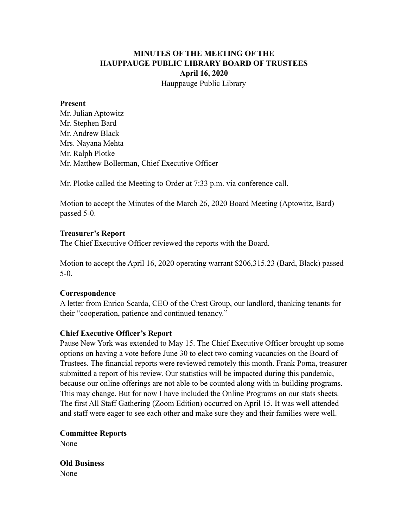# **MINUTES OF THE MEETING OF THE HAUPPAUGE PUBLIC LIBRARY BOARD OF TRUSTEES April 16, 2020** Hauppauge Public Library

#### **Present**

Mr. Julian Aptowitz Mr. Stephen Bard Mr. Andrew Black Mrs. Nayana Mehta Mr. Ralph Plotke Mr. Matthew Bollerman, Chief Executive Officer

Mr. Plotke called the Meeting to Order at 7:33 p.m. via conference call.

Motion to accept the Minutes of the March 26, 2020 Board Meeting (Aptowitz, Bard) passed 5-0.

### **Treasurer's Report**

The Chief Executive Officer reviewed the reports with the Board.

Motion to accept the April 16, 2020 operating warrant \$206,315.23 (Bard, Black) passed 5-0.

## **Correspondence**

A letter from Enrico Scarda, CEO of the Crest Group, our landlord, thanking tenants for their "cooperation, patience and continued tenancy."

## **Chief Executive Officer's Report**

Pause New York was extended to May 15. The Chief Executive Officer brought up some options on having a vote before June 30 to elect two coming vacancies on the Board of Trustees. The financial reports were reviewed remotely this month. Frank Poma, treasurer submitted a report of his review. Our statistics will be impacted during this pandemic, because our online offerings are not able to be counted along with in-building programs. This may change. But for now I have included the Online Programs on our stats sheets. The first All Staff Gathering (Zoom Edition) occurred on April 15. It was well attended and staff were eager to see each other and make sure they and their families were well.

**Committee Reports**  None

**Old Business**  None